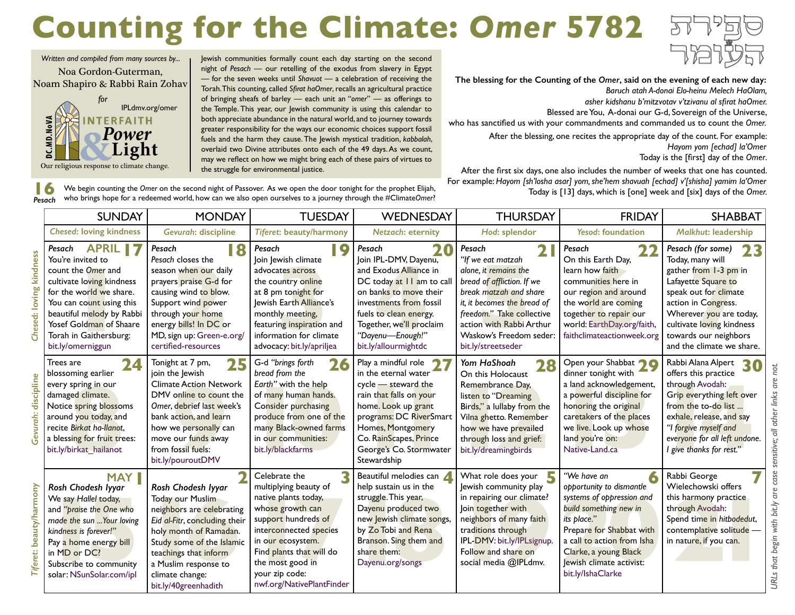## **Counting for the Climate:** *Omer* **5782**

Jewish communities formally count each day starting on the second night of *Pesach* — our retelling of the exodus from slavery in Egypt — for the seven weeks until *Shavuot* — a celebration of receiving the Torah. This counting, called *Sfirat haOmer*, recalls an agricultural practice of bringing sheafs of barley — each unit an "*omer*" — as offerings to the Temple. This year, our Jewish community is using this calendar to both appreciate abundance in the natural world, and to journey towards greater responsibility for the ways our economic choices support fossil fuels and the harm they cause. The Jewish mystical tradition, *kabbalah*, overlaid two Divine attributes onto each of the 49 days. As we count, may we reflect on how we might bring each of these pairs of virtues to



**The blessing for the Counting of the** *Omer***, said on the evening of each new day:** *Baruch atah A-donai Elo-heinu Melech HaOlam,* 

*asher kidshanu b'mitzvotav v'tzivanu al sfirat haOmer.*

Blessed are You, A-donai our G-d, Sovereign of the Universe,

who has sanctified us with your commandments and commanded us to count the *Omer.*

After the blessing, one recites the appropriate day of the count. For example: *Hayom yom [echad] la'Omer*

Today is the [first] day of the *Omer*.

After the first six days, one also includes the number of weeks that one has counted. For example: *Hayom [sh'losha asar] yom, she'hem shavuah [echad] v'[shisha] yamim la'Omer* Today is [13] days, which is [one] week and [six] days of the *Omer.*

**16** We begin counting the *Omer* on the second night of Passover. As we open the door tonight for the prophet Elijah, who brings hope for a redeemed world, how can we also open ourselves to a journey through the #Climate*Omer*? *Pesach*

[IPLdmv.org/omer](http://IPLdmv.org/omer)

**FRFAITH** Power

Our religious response to climate change.

DC.MD.NoVA

*Written and compiled from many sources by...* Noa Gordon-Guterman, Noam Shapiro & Rabbi Rain Zohav *for*

the struggle for environmental justice.

|                    | <b>SUNDAY</b>                                                                                                                                                                                                                                                                                | <b>MONDAY</b>                                                                                                                                                                                                                                           | <b>TUESDAY</b>                                                                                                                                                                                                                                          | WEDNESDAY                                                                                                                                                                                                                                             | <b>THURSDAY</b>                                                                                                                                                                                                                                       | <b>FRIDAY</b>                                                                                                                                                                                                                                     | <b>SHABBAT</b>                                                                                                                                                                                                                                            |
|--------------------|----------------------------------------------------------------------------------------------------------------------------------------------------------------------------------------------------------------------------------------------------------------------------------------------|---------------------------------------------------------------------------------------------------------------------------------------------------------------------------------------------------------------------------------------------------------|---------------------------------------------------------------------------------------------------------------------------------------------------------------------------------------------------------------------------------------------------------|-------------------------------------------------------------------------------------------------------------------------------------------------------------------------------------------------------------------------------------------------------|-------------------------------------------------------------------------------------------------------------------------------------------------------------------------------------------------------------------------------------------------------|---------------------------------------------------------------------------------------------------------------------------------------------------------------------------------------------------------------------------------------------------|-----------------------------------------------------------------------------------------------------------------------------------------------------------------------------------------------------------------------------------------------------------|
|                    | <b>Chesed: loving kindness</b>                                                                                                                                                                                                                                                               | Gevurah: discipline                                                                                                                                                                                                                                     | <b>Tiferet: beauty/harmony</b>                                                                                                                                                                                                                          | <b>Netzach: eternity</b>                                                                                                                                                                                                                              | Hod: splendor                                                                                                                                                                                                                                         | <b>Yesod: foundation</b>                                                                                                                                                                                                                          | Malkhut: leadership                                                                                                                                                                                                                                       |
| kindness<br>loving | <b>APRIL 17</b><br>Pesach<br>You're invited to<br>count the Omer and<br>cultivate loving kindness<br>for the world we share.<br>You can co <mark>unt u</mark> sing this<br>beautiful melody by Rabbi<br>Yosef Gold <mark>man</mark> of Shaare<br>Torah in Gaithersburg:<br>bit.ly/omerniggun | Pesach<br>18<br>Pesach closes the<br>season when our daily<br>prayers praise G-d for<br>causing wind to blow.<br>Support wind power<br>through your home<br>energy bills! In DC or<br>MD, sign up: Green-e.org/<br>certified-resources                  | Pesach<br><b>19</b><br>Join Jewish climate<br>advocates across<br>the country online<br>at 8 pm tonight for<br>lewish Earth Alliance's<br>monthly meeting,<br>featuring inspiration and<br>information for climate<br>advocacy: bit.ly/apriljea         | Pesach<br>20<br>Join IPL-DMV, Dayenu,<br>and Exodus Alliance in<br>DC today at 11 am to call<br>on banks to move their<br>investments from fossil<br>fuels to clean energy.<br>Together, we'll proclaim<br>"Dayenu-Enough!"<br>bit.ly/allourmightdc   | Pesach<br>"If we eat matzah<br>alone, it remains the<br>bread of affliction. If we<br>break matzah and share<br>it, it becomes the bread of<br>freedom." Take collective<br>action with Rabbi Arthur<br>Waskow's Freedom seder:<br>bit.ly/streetseder | Pesach<br>2 <sub>2</sub><br>On this Earth Day,<br>learn how faith<br>communities here in<br>our region and around<br>the world are coming<br>together to repair our<br>world: EarthDay.org/faith,<br>faithclimateactionweek.org                   | Pesach (for some)<br>23<br>Today, many will<br>gather from 1-3 pm in<br>Lafayette Square to<br>speak out for climate<br>action in Congress.<br>Wherever you are today,<br>cultivate loving kindness<br>towards our neighbors<br>and the climate we share. |
| discipline         | 24<br>Trees are<br>blossoming earlier<br>every spring in our<br>damaged climate.<br>Notice spring blossoms<br>around you today, and<br>recite Birkat ha-llanot,<br>a blessing for fruit trees:<br>bit.ly/birkat hailanot                                                                     | 25<br>Tonight at 7 pm,<br>join the Jewish<br><b>Climate Action Network</b><br>DMV online to count the<br>Omer, debrief last week's<br>bank action, and learn<br>how we personally can<br>move our funds away<br>from fossil fuels:<br>bit.ly/pouroutDMV | G-d "brings forth<br>26<br>bread from the<br>Earth" with the help<br>of many human hands.<br><b>Consider purchasing</b><br>produce from one of the<br>many Black-owned farms<br>in our communities:<br>bit.ly/blackfarms                                | Play a mindful role<br>$\bullet$<br>in the eternal water<br>cycle - steward the<br>rain that falls on your<br>home. Look up grant<br>programs: DC RiverSmart<br>Homes, Montgomery<br>Co. RainScapes, Prince<br>George's Co. Stormwater<br>Stewardship | Yom HaShoah<br>28<br>On this Holocaust<br>Remembrance Day,<br>listen to "Dreaming<br>Birds," a lullaby from the<br>Vilna ghetto. Remember<br>how we have prevailed<br>through loss and grief:<br>bit.ly/dreamingbirds                                 | Open your Shabbat 70<br>dinner tonight with<br>a land acknowledgement,<br>a powerful discipline for<br>honoring the original<br>caretakers of the places<br>we live. Look up whose<br>land you're on:<br>Native-Land.ca                           | Rabbi Alana Alpert<br>30<br>offers this practice<br>through Avodah:<br>Grip everything left over<br>from the to-do list<br>exhale, release, and say<br>"I forgive myself and<br>everyone for all left undone.<br>I give thanks for rest."                 |
| mony               | <b>MAY</b><br>Rosh Chodesh Iyyar<br>We say Hallel today,<br>and "praise the One who<br>made the sun  Your loving<br>kindness is forever!"<br>Pay a home energy bill<br>in MD or DC?<br>Subscribe to community<br>solar: NSunSolar.com/ipl                                                    | Rosh Chodesh Iyyar<br>Today our Muslim<br>neighbors are celebrating<br>Eid al-Fitr, concluding their<br>holy month of Ramadan.<br>Study some of the Islamic<br>teachings that inform<br>a Muslim response to<br>climate change:<br>bit.ly/40greenhadith | Celebrate the<br>multiplying beauty of<br>native plants today,<br>whose growth can<br>support hundreds of<br>interconnected species<br>in our ecosystem.<br>Find plants that will do<br>the most good in<br>your zip code:<br>nwf.org/NativePlantFinder | Beautiful melodies can<br>help sustain us in the<br>struggle. This year,<br>Dayenu produced two<br>new lewish climate songs,<br>by Zo Tobi and Rena<br>Branson. Sing them and<br>share them:<br>Dayenu.org/songs                                      | What role does your<br>5<br>Jewish community play<br>in repairing our climate?<br>Join together with<br>neighbors of many faith<br>traditions through<br>IPL-DMV: bit.ly/IPLsignup.<br>Follow and share on<br>social media @IPLdmv.                   | "We have an<br>opportunity to dismantle<br>systems of oppression and<br>build something new in<br>its place."<br>Prepare for Shabbat with<br>a call to action from Isha<br>Clarke, a young Black<br>lewish climate activist:<br>bit.ly/IshaClarke | Rabbi George<br>Wielechowski offers<br>this harmony practice<br>through Avodah:<br>Spend time in hitbodedut,<br>contemplative solitude -<br>in nature, if you can.                                                                                        |